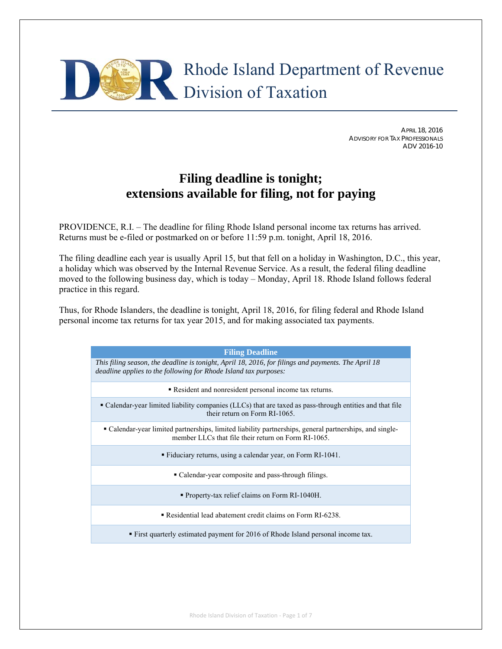

APRIL 18, 2016 ADVISORY FOR TAX PROFESSIONALS ADV 2016-10

# **Filing deadline is tonight; extensions available for filing, not for paying**

PROVIDENCE, R.I. – The deadline for filing Rhode Island personal income tax returns has arrived. Returns must be e-filed or postmarked on or before 11:59 p.m. tonight, April 18, 2016.

The filing deadline each year is usually April 15, but that fell on a holiday in Washington, D.C., this year, a holiday which was observed by the Internal Revenue Service. As a result, the federal filing deadline moved to the following business day, which is today – Monday, April 18. Rhode Island follows federal practice in this regard.

Thus, for Rhode Islanders, the deadline is tonight, April 18, 2016, for filing federal and Rhode Island personal income tax returns for tax year 2015, and for making associated tax payments.

| <b>Filing Deadline</b>                                                                                                                                                  |  |  |
|-------------------------------------------------------------------------------------------------------------------------------------------------------------------------|--|--|
| This filing season, the deadline is tonight, April 18, 2016, for filings and payments. The April 18<br>deadline applies to the following for Rhode Island tax purposes: |  |  |
| • Resident and nonresident personal income tax returns.                                                                                                                 |  |  |
| • Calendar-year limited liability companies (LLCs) that are taxed as pass-through entities and that file<br>their return on Form RI-1065.                               |  |  |
| • Calendar-year limited partnerships, limited liability partnerships, general partnerships, and single-<br>member LLCs that file their return on Form RI-1065.          |  |  |
| • Fiduciary returns, using a calendar year, on Form RI-1041.                                                                                                            |  |  |
| • Calendar-year composite and pass-through filings.                                                                                                                     |  |  |
| <b>Property-tax relief claims on Form RI-1040H.</b>                                                                                                                     |  |  |
| • Residential lead abatement credit claims on Form RI-6238.                                                                                                             |  |  |
| <b>First quarterly estimated payment for 2016 of Rhode Island personal income tax.</b>                                                                                  |  |  |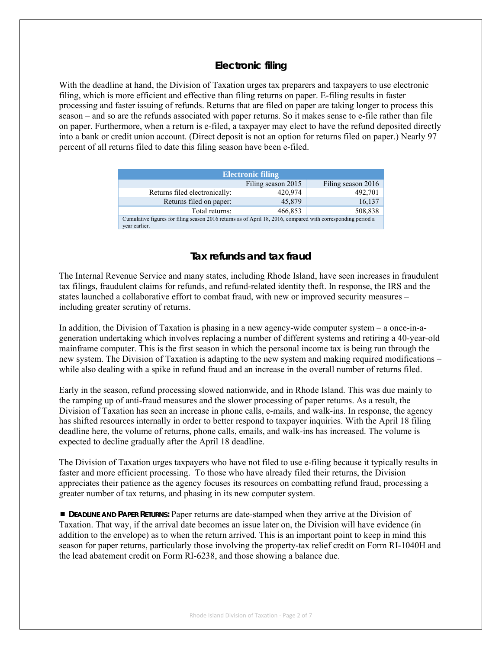# **Electronic filing**

With the deadline at hand, the Division of Taxation urges tax preparers and taxpayers to use electronic filing, which is more efficient and effective than filing returns on paper. E-filing results in faster processing and faster issuing of refunds. Returns that are filed on paper are taking longer to process this season – and so are the refunds associated with paper returns. So it makes sense to e-file rather than file on paper. Furthermore, when a return is e-filed, a taxpayer may elect to have the refund deposited directly into a bank or credit union account. (Direct deposit is not an option for returns filed on paper.) Nearly 97 percent of all returns filed to date this filing season have been e-filed.

| <b>Electronic filing</b>                                                                                                      |                    |                    |  |  |
|-------------------------------------------------------------------------------------------------------------------------------|--------------------|--------------------|--|--|
|                                                                                                                               | Filing season 2015 | Filing season 2016 |  |  |
| Returns filed electronically:                                                                                                 | 420,974            | 492,701            |  |  |
| Returns filed on paper:                                                                                                       | 45,879             | 16,137             |  |  |
| Total returns:                                                                                                                | 466,853            | 508,838            |  |  |
| Cumulative figures for filing season 2016 returns as of April 18, 2016, compared with corresponding period a<br>vear earlier. |                    |                    |  |  |

# **Tax refunds and tax fraud**

The Internal Revenue Service and many states, including Rhode Island, have seen increases in fraudulent tax filings, fraudulent claims for refunds, and refund-related identity theft. In response, the IRS and the states launched a collaborative effort to combat fraud, with new or improved security measures – including greater scrutiny of returns.

In addition, the Division of Taxation is phasing in a new agency-wide computer system – a once-in-ageneration undertaking which involves replacing a number of different systems and retiring a 40-year-old mainframe computer. This is the first season in which the personal income tax is being run through the new system. The Division of Taxation is adapting to the new system and making required modifications – while also dealing with a spike in refund fraud and an increase in the overall number of returns filed.

Early in the season, refund processing slowed nationwide, and in Rhode Island. This was due mainly to the ramping up of anti-fraud measures and the slower processing of paper returns. As a result, the Division of Taxation has seen an increase in phone calls, e-mails, and walk-ins. In response, the agency has shifted resources internally in order to better respond to taxpayer inquiries. With the April 18 filing deadline here, the volume of returns, phone calls, emails, and walk-ins has increased. The volume is expected to decline gradually after the April 18 deadline.

The Division of Taxation urges taxpayers who have not filed to use e-filing because it typically results in faster and more efficient processing. To those who have already filed their returns, the Division appreciates their patience as the agency focuses its resources on combatting refund fraud, processing a greater number of tax returns, and phasing in its new computer system.

**DEADLINE AND PAPER RETURNS:** Paper returns are date-stamped when they arrive at the Division of Taxation. That way, if the arrival date becomes an issue later on, the Division will have evidence (in addition to the envelope) as to when the return arrived. This is an important point to keep in mind this season for paper returns, particularly those involving the property-tax relief credit on Form RI-1040H and the lead abatement credit on Form RI-6238, and those showing a balance due.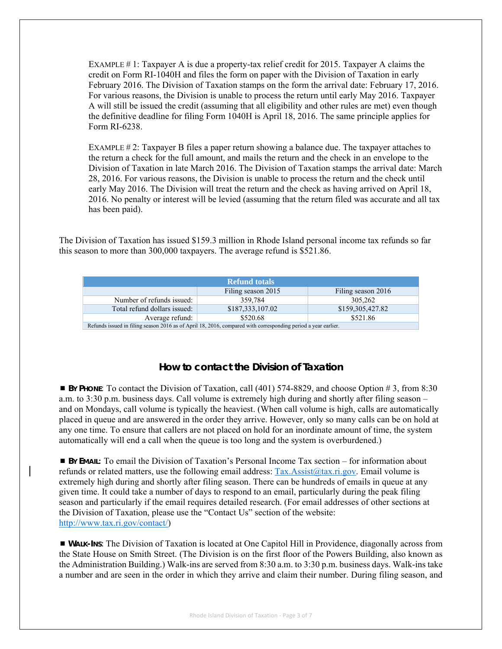EXAMPLE  $\#$  1: Taxpayer A is due a property-tax relief credit for 2015. Taxpayer A claims the credit on Form RI-1040H and files the form on paper with the Division of Taxation in early February 2016. The Division of Taxation stamps on the form the arrival date: February 17, 2016. For various reasons, the Division is unable to process the return until early May 2016. Taxpayer A will still be issued the credit (assuming that all eligibility and other rules are met) even though the definitive deadline for filing Form 1040H is April 18, 2016. The same principle applies for Form RI-6238.

EXAMPLE  $\# 2$ : Taxpayer B files a paper return showing a balance due. The taxpayer attaches to the return a check for the full amount, and mails the return and the check in an envelope to the Division of Taxation in late March 2016. The Division of Taxation stamps the arrival date: March 28, 2016. For various reasons, the Division is unable to process the return and the check until early May 2016. The Division will treat the return and the check as having arrived on April 18, 2016. No penalty or interest will be levied (assuming that the return filed was accurate and all tax has been paid).

The Division of Taxation has issued \$159.3 million in Rhode Island personal income tax refunds so far this season to more than 300,000 taxpayers. The average refund is \$521.86.

| <b>Refund totals</b>                                                                                          |                    |                    |  |
|---------------------------------------------------------------------------------------------------------------|--------------------|--------------------|--|
|                                                                                                               | Filing season 2015 | Filing season 2016 |  |
| Number of refunds issued:                                                                                     | 359.784            | 305.262            |  |
| Total refund dollars issued:                                                                                  | \$187,333,107.02   | \$159,305,427.82   |  |
| Average refund:                                                                                               | \$520.68           | \$521.86           |  |
| Refunds issued in filing season 2016 as of April 18, 2016, compared with corresponding period a year earlier. |                    |                    |  |

## **How to contact the Division of Taxation**

 **BY PHONE**: To contact the Division of Taxation, call (401) 574-8829, and choose Option # 3, from 8:30 a.m. to 3:30 p.m. business days. Call volume is extremely high during and shortly after filing season – and on Mondays, call volume is typically the heaviest. (When call volume is high, calls are automatically placed in queue and are answered in the order they arrive. However, only so many calls can be on hold at any one time. To ensure that callers are not placed on hold for an inordinate amount of time, the system automatically will end a call when the queue is too long and the system is overburdened.)

 **BY EMAIL:** To email the Division of Taxation's Personal Income Tax section – for information about refunds or related matters, use the following email address:  $Tax.Assist@tax.ri.gov$ . Email volume is extremely high during and shortly after filing season. There can be hundreds of emails in queue at any given time. It could take a number of days to respond to an email, particularly during the peak filing season and particularly if the email requires detailed research. (For email addresses of other sections at the Division of Taxation, please use the "Contact Us" section of the website: http://www.tax.ri.gov/contact/)

 **WALK-INS**: The Division of Taxation is located at One Capitol Hill in Providence, diagonally across from the State House on Smith Street. (The Division is on the first floor of the Powers Building, also known as the Administration Building.) Walk-ins are served from 8:30 a.m. to 3:30 p.m. business days. Walk-ins take a number and are seen in the order in which they arrive and claim their number. During filing season, and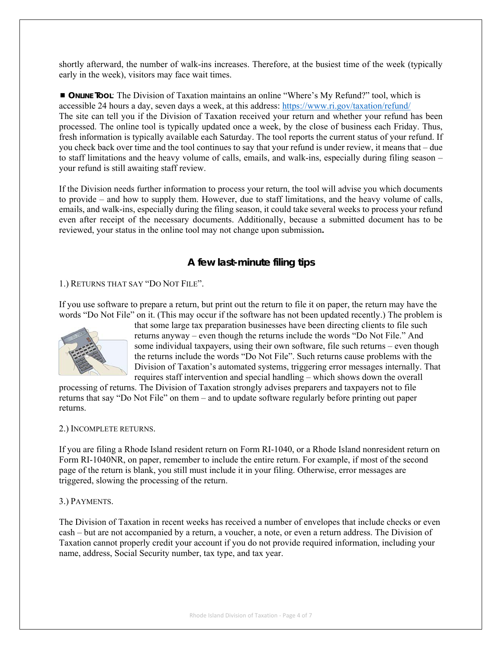shortly afterward, the number of walk-ins increases. Therefore, at the busiest time of the week (typically early in the week), visitors may face wait times.

 **ONLINE TOOL**: The Division of Taxation maintains an online "Where's My Refund?" tool, which is accessible 24 hours a day, seven days a week, at this address: https://www.ri.gov/taxation/refund/ The site can tell you if the Division of Taxation received your return and whether your refund has been processed. The online tool is typically updated once a week, by the close of business each Friday. Thus, fresh information is typically available each Saturday. The tool reports the current status of your refund. If you check back over time and the tool continues to say that your refund is under review, it means that – due to staff limitations and the heavy volume of calls, emails, and walk-ins, especially during filing season – your refund is still awaiting staff review.

If the Division needs further information to process your return, the tool will advise you which documents to provide – and how to supply them. However, due to staff limitations, and the heavy volume of calls, emails, and walk-ins, especially during the filing season, it could take several weeks to process your refund even after receipt of the necessary documents. Additionally, because a submitted document has to be reviewed, your status in the online tool may not change upon submission**.** 

# **A few last-minute filing tips**

## 1.) RETURNS THAT SAY "DO NOT FILE".

If you use software to prepare a return, but print out the return to file it on paper, the return may have the words "Do Not File" on it. (This may occur if the software has not been updated recently.) The problem is



that some large tax preparation businesses have been directing clients to file such returns anyway – even though the returns include the words "Do Not File." And some individual taxpayers, using their own software, file such returns – even though the returns include the words "Do Not File". Such returns cause problems with the Division of Taxation's automated systems, triggering error messages internally. That requires staff intervention and special handling – which shows down the overall

processing of returns. The Division of Taxation strongly advises preparers and taxpayers not to file returns that say "Do Not File" on them – and to update software regularly before printing out paper returns.

#### 2.) INCOMPLETE RETURNS.

If you are filing a Rhode Island resident return on Form RI-1040, or a Rhode Island nonresident return on Form RI-1040NR, on paper, remember to include the entire return. For example, if most of the second page of the return is blank, you still must include it in your filing. Otherwise, error messages are triggered, slowing the processing of the return.

## 3.) PAYMENTS.

The Division of Taxation in recent weeks has received a number of envelopes that include checks or even cash – but are not accompanied by a return, a voucher, a note, or even a return address. The Division of Taxation cannot properly credit your account if you do not provide required information, including your name, address, Social Security number, tax type, and tax year.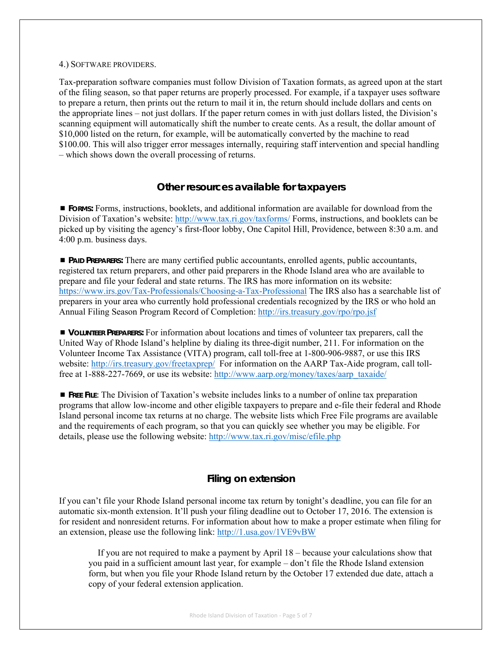#### 4.) SOFTWARE PROVIDERS.

Tax-preparation software companies must follow Division of Taxation formats, as agreed upon at the start of the filing season, so that paper returns are properly processed. For example, if a taxpayer uses software to prepare a return, then prints out the return to mail it in, the return should include dollars and cents on the appropriate lines – not just dollars. If the paper return comes in with just dollars listed, the Division's scanning equipment will automatically shift the number to create cents. As a result, the dollar amount of \$10,000 listed on the return, for example, will be automatically converted by the machine to read \$100.00. This will also trigger error messages internally, requiring staff intervention and special handling – which shows down the overall processing of returns.

## **Other resources available for taxpayers**

 **FORMS:** Forms, instructions, booklets, and additional information are available for download from the Division of Taxation's website: http://www.tax.ri.gov/taxforms/ Forms, instructions, and booklets can be picked up by visiting the agency's first-floor lobby, One Capitol Hill, Providence, between 8:30 a.m. and 4:00 p.m. business days.

 **PAID PREPARERS:** There are many certified public accountants, enrolled agents, public accountants, registered tax return preparers, and other paid preparers in the Rhode Island area who are available to prepare and file your federal and state returns. The IRS has more information on its website: https://www.irs.gov/Tax-Professionals/Choosing-a-Tax-Professional The IRS also has a searchable list of preparers in your area who currently hold professional credentials recognized by the IRS or who hold an Annual Filing Season Program Record of Completion: http://irs.treasury.gov/rpo/rpo.jsf

 **VOLUNTEER PREPARERS:** For information about locations and times of volunteer tax preparers, call the United Way of Rhode Island's helpline by dialing its three-digit number, 211. For information on the Volunteer Income Tax Assistance (VITA) program, call toll-free at 1-800-906-9887, or use this IRS website: http://irs.treasury.gov/freetaxprep/ For information on the AARP Tax-Aide program, call tollfree at 1-888-227-7669, or use its website: http://www.aarp.org/money/taxes/aarp\_taxaide/

 **FREE FILE**: The Division of Taxation's website includes links to a number of online tax preparation programs that allow low-income and other eligible taxpayers to prepare and e-file their federal and Rhode Island personal income tax returns at no charge. The website lists which Free File programs are available and the requirements of each program, so that you can quickly see whether you may be eligible. For details, please use the following website: http://www.tax.ri.gov/misc/efile.php

## **Filing on extension**

If you can't file your Rhode Island personal income tax return by tonight's deadline, you can file for an automatic six-month extension. It'll push your filing deadline out to October 17, 2016. The extension is for resident and nonresident returns. For information about how to make a proper estimate when filing for an extension, please use the following link: http://1.usa.gov/1VE9vBW

 If you are not required to make a payment by April 18 – because your calculations show that you paid in a sufficient amount last year, for example – don't file the Rhode Island extension form, but when you file your Rhode Island return by the October 17 extended due date, attach a copy of your federal extension application.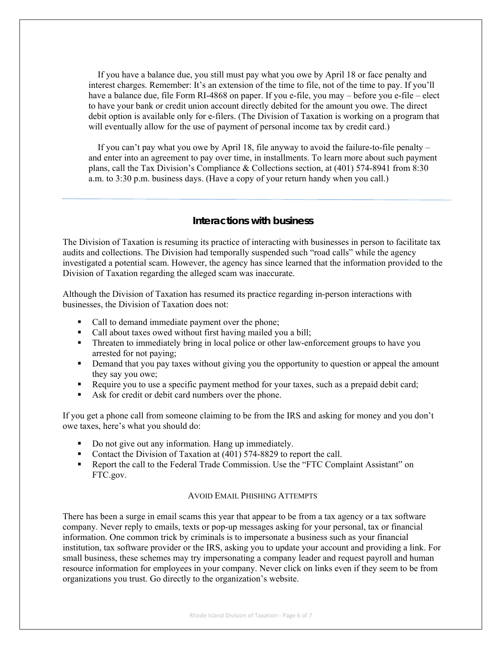If you have a balance due, you still must pay what you owe by April 18 or face penalty and interest charges. Remember: It's an extension of the time to file, not of the time to pay. If you'll have a balance due, file Form RI-4868 on paper. If you e-file, you may – before you e-file – elect to have your bank or credit union account directly debited for the amount you owe. The direct debit option is available only for e-filers. (The Division of Taxation is working on a program that will eventually allow for the use of payment of personal income tax by credit card.)

 If you can't pay what you owe by April 18, file anyway to avoid the failure-to-file penalty – and enter into an agreement to pay over time, in installments. To learn more about such payment plans, call the Tax Division's Compliance & Collections section, at (401) 574-8941 from 8:30 a.m. to 3:30 p.m. business days. (Have a copy of your return handy when you call.)

## **Interactions with business**

The Division of Taxation is resuming its practice of interacting with businesses in person to facilitate tax audits and collections. The Division had temporally suspended such "road calls" while the agency investigated a potential scam. However, the agency has since learned that the information provided to the Division of Taxation regarding the alleged scam was inaccurate.

Although the Division of Taxation has resumed its practice regarding in-person interactions with businesses, the Division of Taxation does not:

- Call to demand immediate payment over the phone;
- Call about taxes owed without first having mailed you a bill;
- Threaten to immediately bring in local police or other law-enforcement groups to have you arrested for not paying;
- **•** Demand that you pay taxes without giving you the opportunity to question or appeal the amount they say you owe;
- Require you to use a specific payment method for your taxes, such as a prepaid debit card;
- Ask for credit or debit card numbers over the phone.

If you get a phone call from someone claiming to be from the IRS and asking for money and you don't owe taxes, here's what you should do:

- Do not give out any information. Hang up immediately.
- Contact the Division of Taxation at (401) 574-8829 to report the call.
- **Report the call to the Federal Trade Commission. Use the "FTC Complaint Assistant" on** FTC.gov.

#### AVOID EMAIL PHISHING ATTEMPTS

There has been a surge in email scams this year that appear to be from a tax agency or a tax software company. Never reply to emails, texts or pop-up messages asking for your personal, tax or financial information. One common trick by criminals is to impersonate a business such as your financial institution, tax software provider or the IRS, asking you to update your account and providing a link. For small business, these schemes may try impersonating a company leader and request payroll and human resource information for employees in your company. Never click on links even if they seem to be from organizations you trust. Go directly to the organization's website.